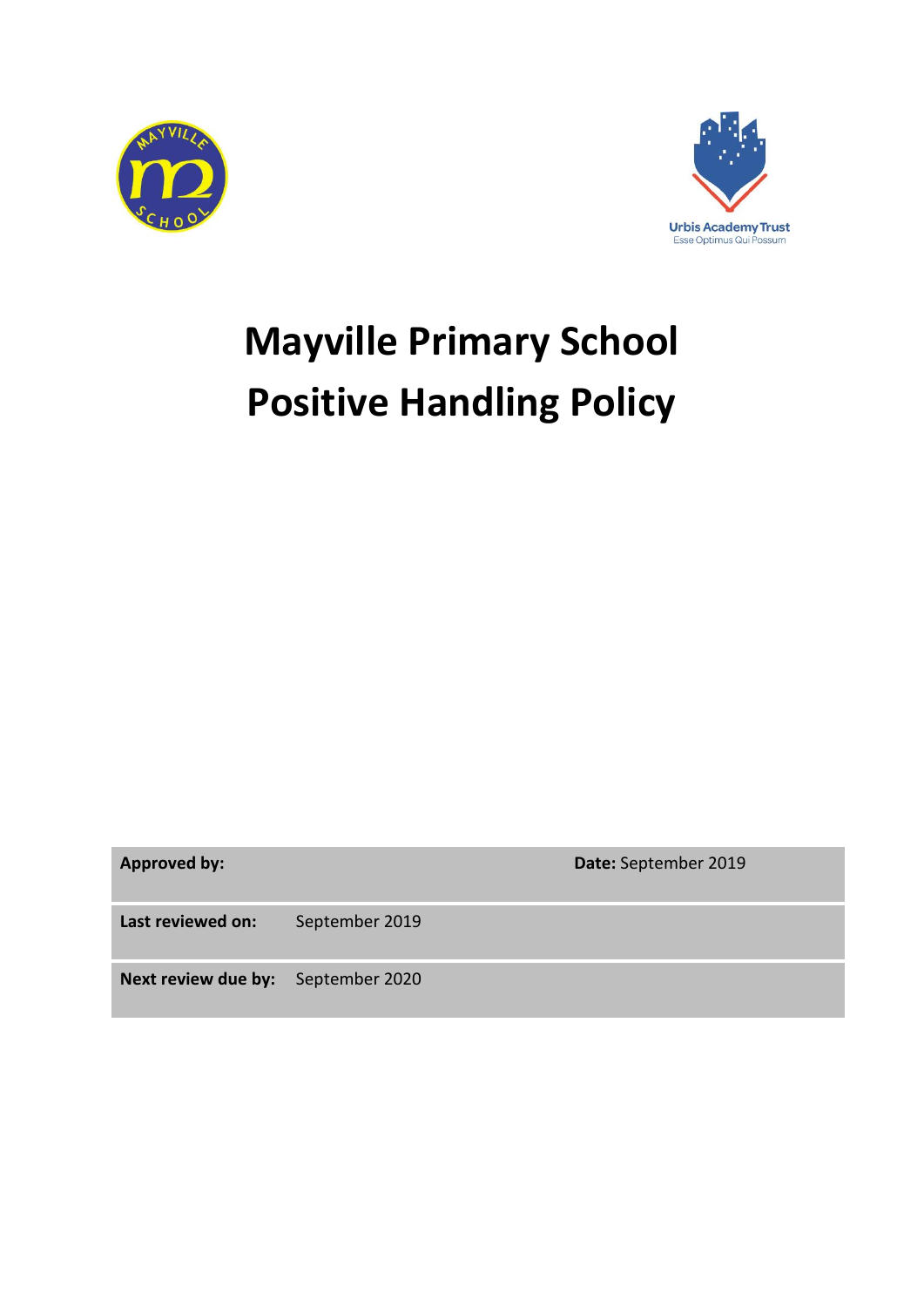



# **Mayville Primary School Positive Handling Policy**

**Approved by: Date:** September 2019

**Last reviewed on:** September 2019

**Next review due by:** September 2020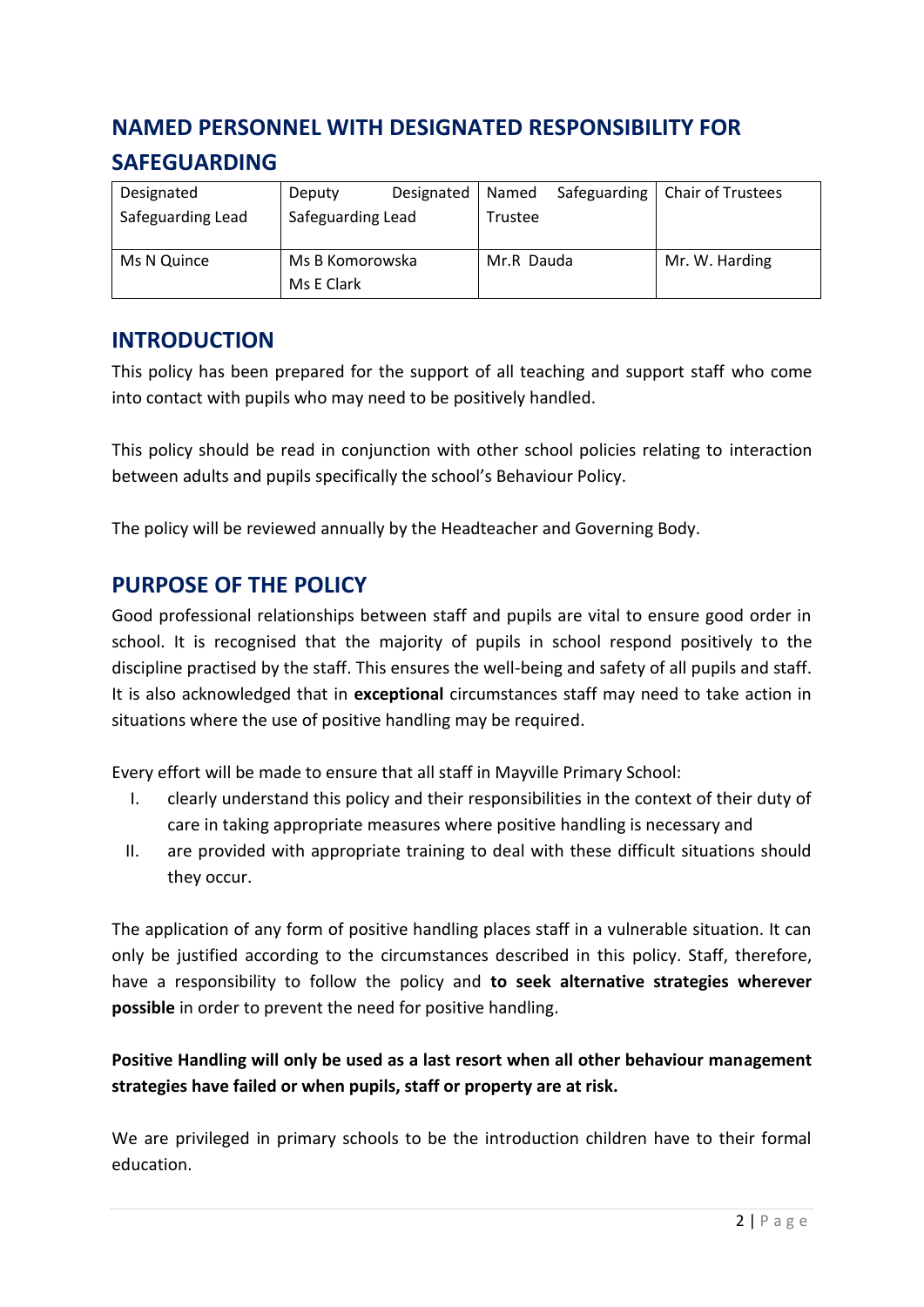# **NAMED PERSONNEL WITH DESIGNATED RESPONSIBILITY FOR SAFEGUARDING**

| Designated        | Deputy            | Designated | Named      | Safeguarding | <b>Chair of Trustees</b> |
|-------------------|-------------------|------------|------------|--------------|--------------------------|
| Safeguarding Lead | Safeguarding Lead |            | Trustee    |              |                          |
|                   |                   |            |            |              |                          |
| Ms N Quince       | Ms B Komorowska   |            | Mr.R Dauda |              | Mr. W. Harding           |
|                   | Ms E Clark        |            |            |              |                          |

## **INTRODUCTION**

This policy has been prepared for the support of all teaching and support staff who come into contact with pupils who may need to be positively handled.

This policy should be read in conjunction with other school policies relating to interaction between adults and pupils specifically the school's Behaviour Policy.

The policy will be reviewed annually by the Headteacher and Governing Body.

## **PURPOSE OF THE POLICY**

Good professional relationships between staff and pupils are vital to ensure good order in school. It is recognised that the majority of pupils in school respond positively to the discipline practised by the staff. This ensures the well-being and safety of all pupils and staff. It is also acknowledged that in **exceptional** circumstances staff may need to take action in situations where the use of positive handling may be required.

Every effort will be made to ensure that all staff in Mayville Primary School:

- I. clearly understand this policy and their responsibilities in the context of their duty of care in taking appropriate measures where positive handling is necessary and
- II. are provided with appropriate training to deal with these difficult situations should they occur.

The application of any form of positive handling places staff in a vulnerable situation. It can only be justified according to the circumstances described in this policy. Staff, therefore, have a responsibility to follow the policy and **to seek alternative strategies wherever possible** in order to prevent the need for positive handling.

## **Positive Handling will only be used as a last resort when all other behaviour management strategies have failed or when pupils, staff or property are at risk.**

We are privileged in primary schools to be the introduction children have to their formal education.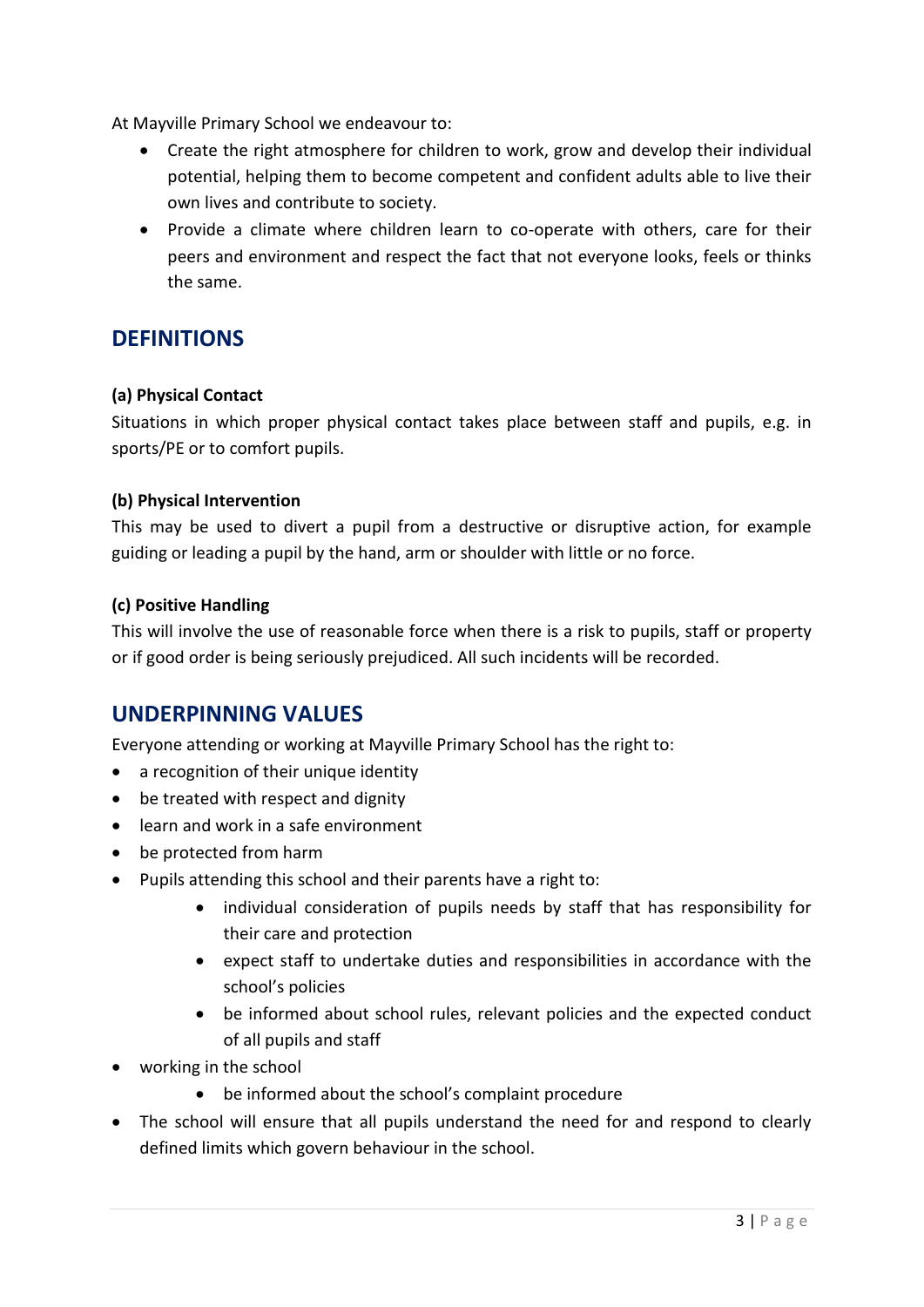At Mayville Primary School we endeavour to:

- Create the right atmosphere for children to work, grow and develop their individual potential, helping them to become competent and confident adults able to live their own lives and contribute to society.
- Provide a climate where children learn to co-operate with others, care for their peers and environment and respect the fact that not everyone looks, feels or thinks the same.

# **DEFINITIONS**

### **(a) Physical Contact**

Situations in which proper physical contact takes place between staff and pupils, e.g. in sports/PE or to comfort pupils.

#### **(b) Physical Intervention**

This may be used to divert a pupil from a destructive or disruptive action, for example guiding or leading a pupil by the hand, arm or shoulder with little or no force.

### **(c) Positive Handling**

This will involve the use of reasonable force when there is a risk to pupils, staff or property or if good order is being seriously prejudiced. All such incidents will be recorded.

## **UNDERPINNING VALUES**

Everyone attending or working at Mayville Primary School has the right to:

- a recognition of their unique identity
- be treated with respect and dignity
- learn and work in a safe environment
- be protected from harm
- Pupils attending this school and their parents have a right to:
	- individual consideration of pupils needs by staff that has responsibility for their care and protection
	- expect staff to undertake duties and responsibilities in accordance with the school's policies
	- be informed about school rules, relevant policies and the expected conduct of all pupils and staff
- working in the school
	- be informed about the school's complaint procedure
- The school will ensure that all pupils understand the need for and respond to clearly defined limits which govern behaviour in the school.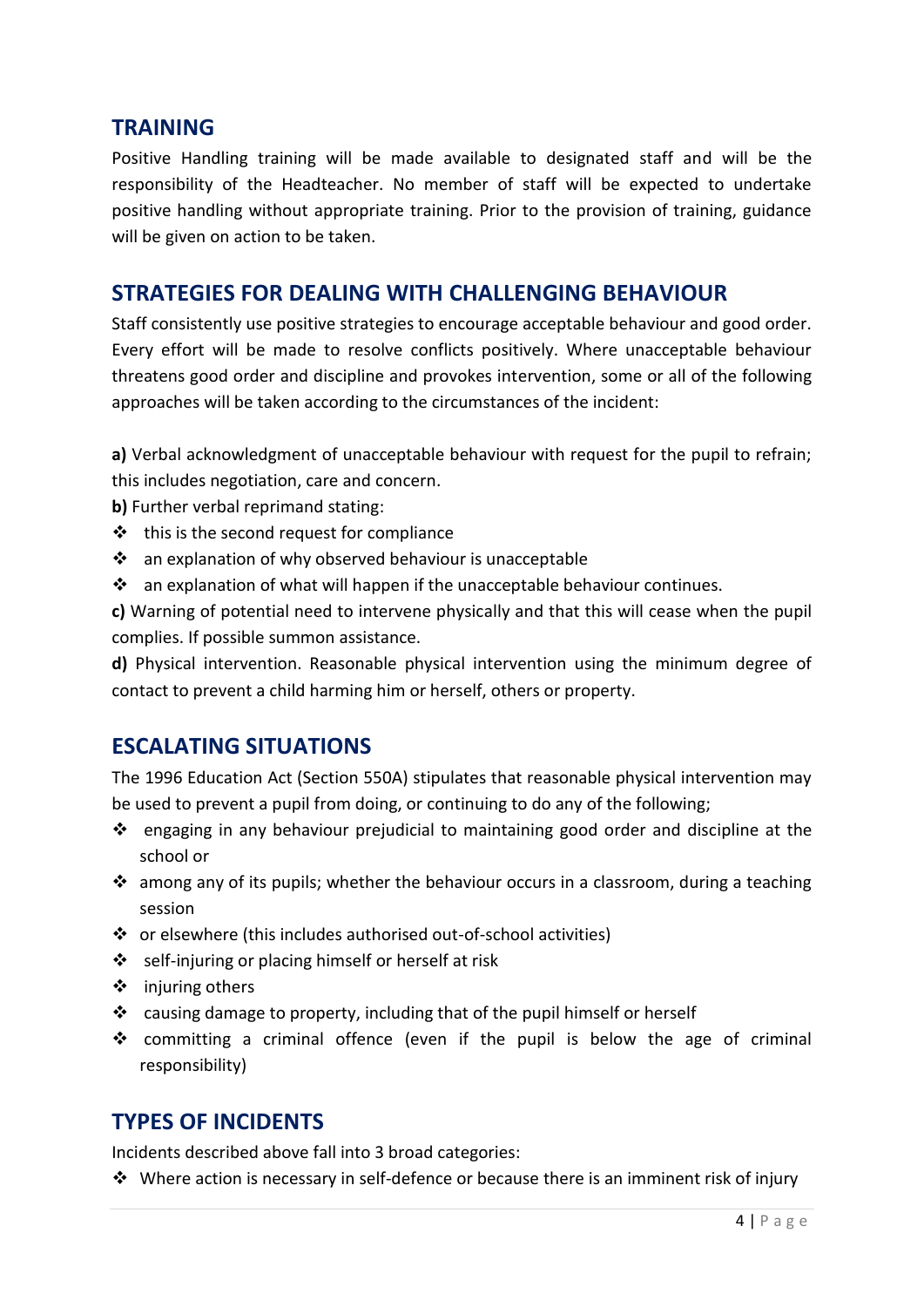## **TRAINING**

Positive Handling training will be made available to designated staff and will be the responsibility of the Headteacher. No member of staff will be expected to undertake positive handling without appropriate training. Prior to the provision of training, guidance will be given on action to be taken.

## **STRATEGIES FOR DEALING WITH CHALLENGING BEHAVIOUR**

Staff consistently use positive strategies to encourage acceptable behaviour and good order. Every effort will be made to resolve conflicts positively. Where unacceptable behaviour threatens good order and discipline and provokes intervention, some or all of the following approaches will be taken according to the circumstances of the incident:

**a)** Verbal acknowledgment of unacceptable behaviour with request for the pupil to refrain; this includes negotiation, care and concern.

**b)** Further verbal reprimand stating:

- $\cdot \cdot$  this is the second request for compliance
- an explanation of why observed behaviour is unacceptable
- $\cdot$  an explanation of what will happen if the unacceptable behaviour continues.

**c)** Warning of potential need to intervene physically and that this will cease when the pupil complies. If possible summon assistance.

**d)** Physical intervention. Reasonable physical intervention using the minimum degree of contact to prevent a child harming him or herself, others or property.

## **ESCALATING SITUATIONS**

The 1996 Education Act (Section 550A) stipulates that reasonable physical intervention may be used to prevent a pupil from doing, or continuing to do any of the following;

- $\div$  engaging in any behaviour prejudicial to maintaining good order and discipline at the school or
- $\clubsuit$  among any of its pupils; whether the behaviour occurs in a classroom, during a teaching session
- or elsewhere (this includes authorised out-of-school activities)
- ❖ self-injuring or placing himself or herself at risk
- $\div$  injuring others
- \* causing damage to property, including that of the pupil himself or herself
- committing a criminal offence (even if the pupil is below the age of criminal responsibility)

## **TYPES OF INCIDENTS**

Incidents described above fall into 3 broad categories:

 $\cdot$  Where action is necessary in self-defence or because there is an imminent risk of injury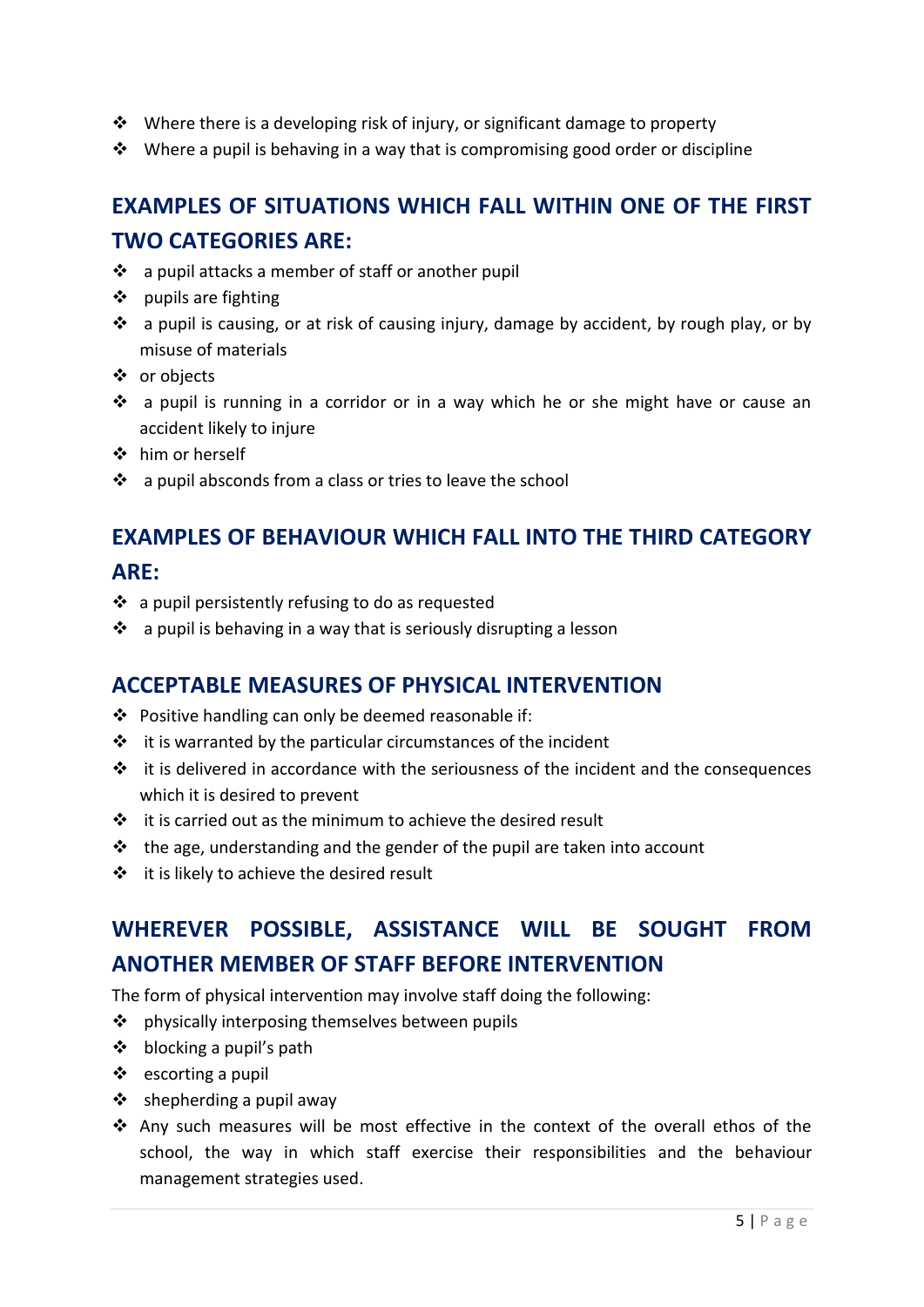- $\triangle$  Where there is a developing risk of injury, or significant damage to property
- $\cdot$  Where a pupil is behaving in a way that is compromising good order or discipline

# **EXAMPLES OF SITUATIONS WHICH FALL WITHIN ONE OF THE FIRST TWO CATEGORIES ARE:**

- $\cdot$  a pupil attacks a member of staff or another pupil
- $\div$  pupils are fighting
- $\cdot \cdot$  a pupil is causing, or at risk of causing injury, damage by accident, by rough play, or by misuse of materials
- or objects
- a pupil is running in a corridor or in a way which he or she might have or cause an accident likely to injure
- him or herself
- $\cdot$  a pupil absconds from a class or tries to leave the school

# **EXAMPLES OF BEHAVIOUR WHICH FALL INTO THE THIRD CATEGORY**

## **ARE:**

- $\div$  a pupil persistently refusing to do as requested
- $\cdot$  a pupil is behaving in a way that is seriously disrupting a lesson

## **ACCEPTABLE MEASURES OF PHYSICAL INTERVENTION**

- Positive handling can only be deemed reasonable if:
- $\cdot \cdot$  it is warranted by the particular circumstances of the incident
- $\cdot \cdot$  it is delivered in accordance with the seriousness of the incident and the consequences which it is desired to prevent
- $\cdot \cdot$  it is carried out as the minimum to achieve the desired result
- $\cdot \cdot$  the age, understanding and the gender of the pupil are taken into account
- $\div$  it is likely to achieve the desired result

# **WHEREVER POSSIBLE, ASSISTANCE WILL BE SOUGHT FROM ANOTHER MEMBER OF STAFF BEFORE INTERVENTION**

The form of physical intervention may involve staff doing the following:

- ❖ physically interposing themselves between pupils
- $\triangleleft$  blocking a pupil's path
- ❖ escorting a pupil
- $\div$  shepherding a pupil away
- Any such measures will be most effective in the context of the overall ethos of the school, the way in which staff exercise their responsibilities and the behaviour management strategies used.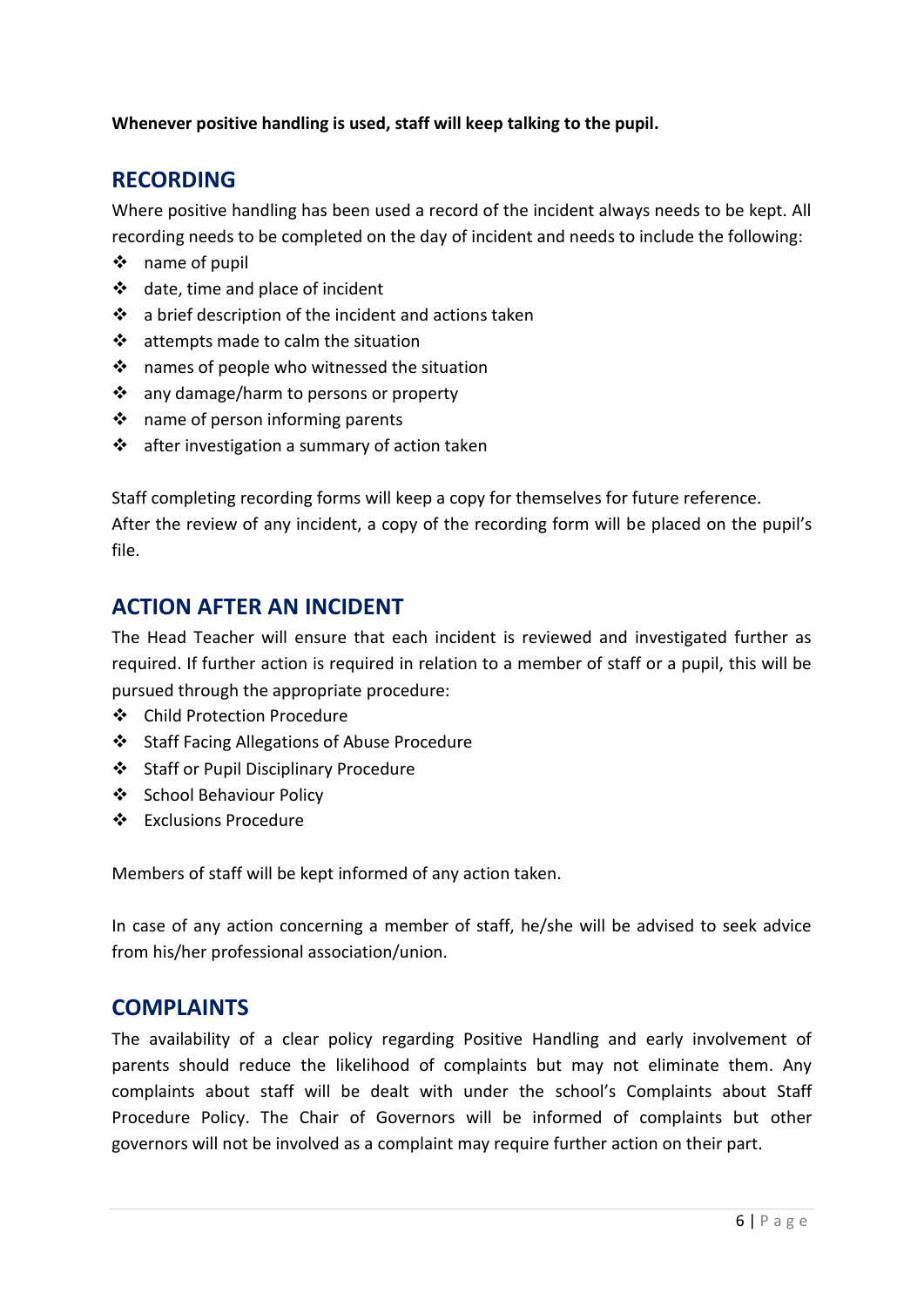### **Whenever positive handling is used, staff will keep talking to the pupil.**

## **RECORDING**

Where positive handling has been used a record of the incident always needs to be kept. All recording needs to be completed on the day of incident and needs to include the following:

- name of pupil
- date, time and place of incident
- $\cdot \cdot$  a brief description of the incident and actions taken
- $\triangleleft$  attempts made to calm the situation
- ❖ names of people who witnessed the situation
- ❖ any damage/harm to persons or property
- $\triangleq$  name of person informing parents
- $\cdot \cdot$  after investigation a summary of action taken

Staff completing recording forms will keep a copy for themselves for future reference. After the review of any incident, a copy of the recording form will be placed on the pupil's file.

## **ACTION AFTER AN INCIDENT**

The Head Teacher will ensure that each incident is reviewed and investigated further as required. If further action is required in relation to a member of staff or a pupil, this will be pursued through the appropriate procedure:

- Child Protection Procedure
- Staff Facing Allegations of Abuse Procedure
- Staff or Pupil Disciplinary Procedure
- ❖ School Behaviour Policy
- ❖ Exclusions Procedure

Members of staff will be kept informed of any action taken.

In case of any action concerning a member of staff, he/she will be advised to seek advice from his/her professional association/union.

## **COMPLAINTS**

The availability of a clear policy regarding Positive Handling and early involvement of parents should reduce the likelihood of complaints but may not eliminate them. Any complaints about staff will be dealt with under the school's Complaints about Staff Procedure Policy. The Chair of Governors will be informed of complaints but other governors will not be involved as a complaint may require further action on their part.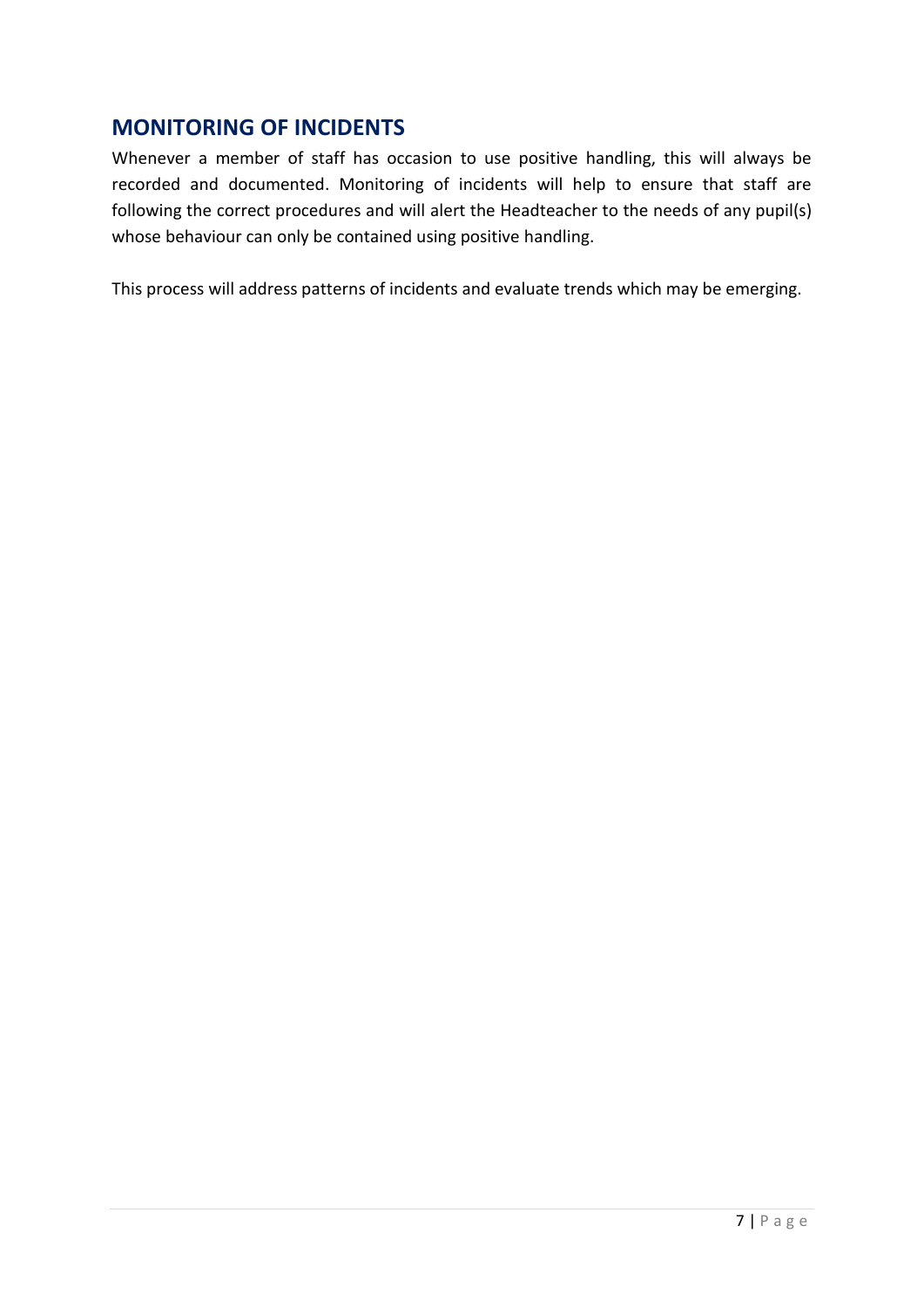# **MONITORING OF INCIDENTS**

Whenever a member of staff has occasion to use positive handling, this will always be recorded and documented. Monitoring of incidents will help to ensure that staff are following the correct procedures and will alert the Headteacher to the needs of any pupil(s) whose behaviour can only be contained using positive handling.

This process will address patterns of incidents and evaluate trends which may be emerging.